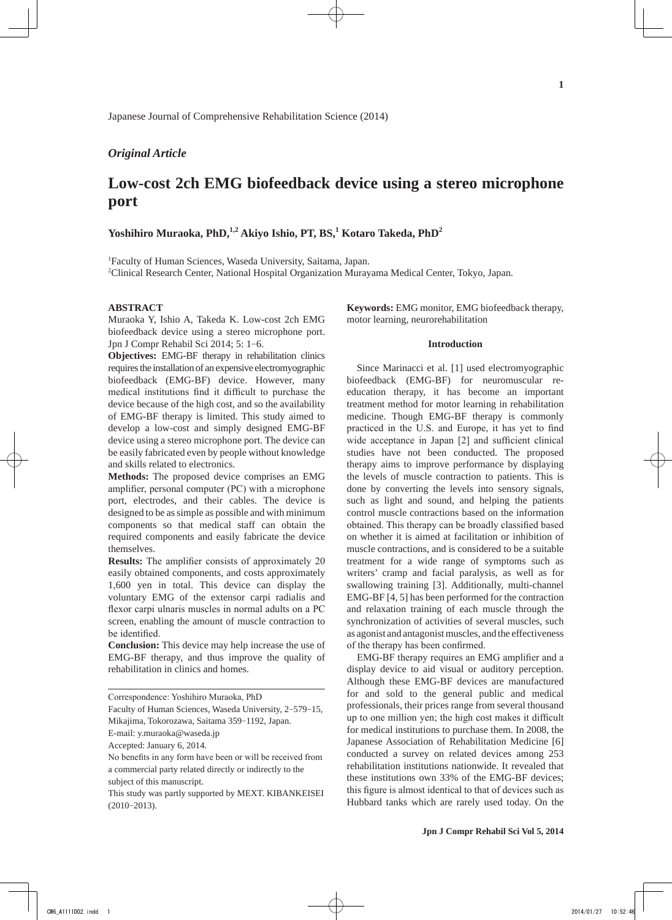Japanese Journal of Comprehensive Rehabilitation Science (2014)

# *Original Article*

# **Low-cost 2ch EMG biofeedback device using a stereo microphone port**

# **Yoshihiro Muraoka, PhD,1,2 Akiyo Ishio, PT, BS,1 Kotaro Takeda, PhD<sup>2</sup>**

1 Faculty of Human Sciences, Waseda University, Saitama, Japan. 2 Clinical Research Center, National Hospital Organization Murayama Medical Center, Tokyo, Japan.

## **ABSTRACT**

Muraoka Y, Ishio A, Takeda K. Low-cost 2ch EMG biofeedback device using a stereo microphone port. Jpn J Compr Rehabil Sci 2014; 5: 1-6.

**Objectives:** EMG-BF therapy in rehabilitation clinics requires the installation of an expensive electromyographic biofeedback (EMG-BF) device. However, many medical institutions find it difficult to purchase the device because of the high cost, and so the availability of EMG-BF therapy is limited. This study aimed to develop a low-cost and simply designed EMG-BF device using a stereo microphone port. The device can be easily fabricated even by people without knowledge and skills related to electronics.

**Methods:** The proposed device comprises an EMG amplifier, personal computer (PC) with a microphone port, electrodes, and their cables. The device is designed to be as simple as possible and with minimum components so that medical staff can obtain the required components and easily fabricate the device themselves.

**Results:** The amplifier consists of approximately 20 easily obtained components, and costs approximately 1,600 yen in total. This device can display the voluntary EMG of the extensor carpi radialis and flexor carpi ulnaris muscles in normal adults on a PC screen, enabling the amount of muscle contraction to be identified.

**Conclusion:** This device may help increase the use of EMG-BF therapy, and thus improve the quality of rehabilitation in clinics and homes.

Faculty of Human Sciences, Waseda University, 2-579-15, Mikajima, Tokorozawa, Saitama 359-1192, Japan.

**Keywords:** EMG monitor, EMG biofeedback therapy, motor learning, neurorehabilitation

## **Introduction**

Since Marinacci et al. [1] used electromyographic biofeedback (EMG-BF) for neuromuscular reeducation therapy, it has become an important treatment method for motor learning in rehabilitation medicine. Though EMG-BF therapy is commonly practiced in the U.S. and Europe, it has yet to find wide acceptance in Japan [2] and sufficient clinical studies have not been conducted. The proposed therapy aims to improve performance by displaying the levels of muscle contraction to patients. This is done by converting the levels into sensory signals, such as light and sound, and helping the patients control muscle contractions based on the information obtained. This therapy can be broadly classified based on whether it is aimed at facilitation or inhibition of muscle contractions, and is considered to be a suitable treatment for a wide range of symptoms such as writers' cramp and facial paralysis, as well as for swallowing training [3]. Additionally, multi-channel EMG-BF [4, 5] has been performed for the contraction and relaxation training of each muscle through the synchronization of activities of several muscles, such as agonist and antagonist muscles, and the effectiveness of the therapy has been confirmed.

EMG-BF therapy requires an EMG amplifier and a display device to aid visual or auditory perception. Although these EMG-BF devices are manufactured for and sold to the general public and medical professionals, their prices range from several thousand up to one million yen; the high cost makes it difficult for medical institutions to purchase them. In 2008, the Japanese Association of Rehabilitation Medicine [6] conducted a survey on related devices among 253 rehabilitation institutions nationwide. It revealed that these institutions own 33% of the EMG-BF devices; this figure is almost identical to that of devices such as Hubbard tanks which are rarely used today. On the

Correspondence: Yoshihiro Muraoka, PhD

E-mail: y.muraoka@waseda.jp

Accepted: January 6, 2014.

No benefits in any form have been or will be received from a commercial party related directly or indirectly to the subject of this manuscript.

This study was partly supported by MEXT. KIBANKEISEI  $(2010 - 2013)$ .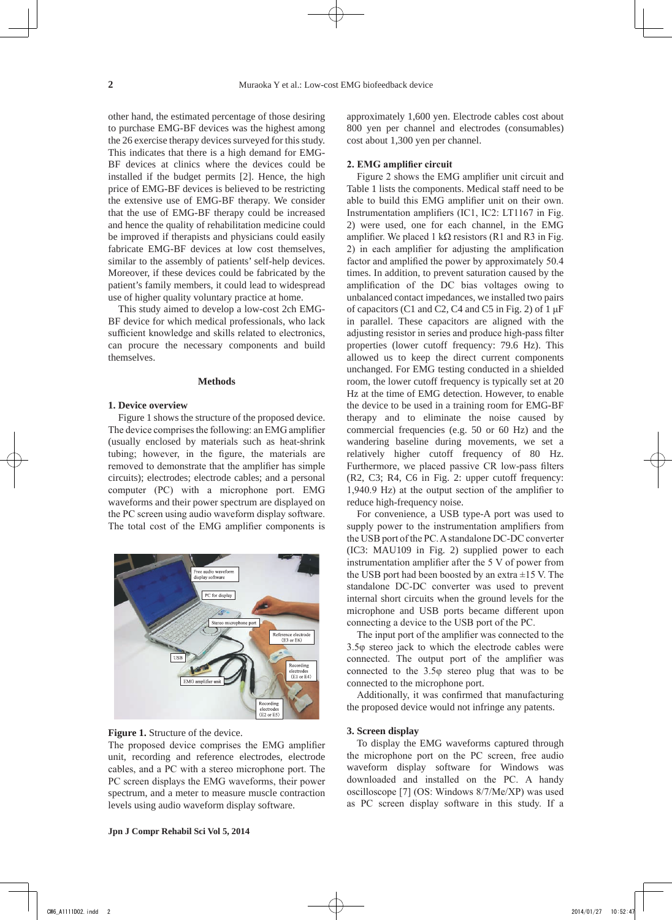other hand, the estimated percentage of those desiring to purchase EMG-BF devices was the highest among the 26 exercise therapy devices surveyed for this study. This indicates that there is a high demand for EMG-BF devices at clinics where the devices could be installed if the budget permits [2]. Hence, the high price of EMG-BF devices is believed to be restricting the extensive use of EMG-BF therapy. We consider that the use of EMG-BF therapy could be increased and hence the quality of rehabilitation medicine could be improved if therapists and physicians could easily fabricate EMG-BF devices at low cost themselves, similar to the assembly of patients' self-help devices. Moreover, if these devices could be fabricated by the patient's family members, it could lead to widespread use of higher quality voluntary practice at home.

This study aimed to develop a low-cost 2ch EMG-BF device for which medical professionals, who lack sufficient knowledge and skills related to electronics, can procure the necessary components and build themselves.

#### **Methods**

## **1. Device overview**

Figure 1 shows the structure of the proposed device. The device comprises the following: an EMG amplifier (usually enclosed by materials such as heat-shrink tubing; however, in the figure, the materials are removed to demonstrate that the amplifier has simple circuits); electrodes; electrode cables; and a personal computer (PC) with a microphone port. EMG waveforms and their power spectrum are displayed on the PC screen using audio waveform display software. The total cost of the EMG amplifier components is



#### Figure 1. Structure of the device.

The proposed device comprises the EMG amplifier unit, recording and reference electrodes, electrode cables, and a PC with a stereo microphone port. The PC screen displays the EMG waveforms, their power spectrum, and a meter to measure muscle contraction levels using audio waveform display software.

approximately 1,600 yen. Electrode cables cost about 800 yen per channel and electrodes (consumables) cost about 1,300 yen per channel.

## **2. EMG amplifier circuit**

Figure 2 shows the EMG amplifier unit circuit and Table 1 lists the components. Medical staff need to be able to build this EMG amplifier unit on their own. Instrumentation amplifiers (IC1, IC2: LT1167 in Fig. 2) were used, one for each channel, in the EMG amplifier. We placed 1 kΩ resistors (R1 and R3 in Fig. 2) in each amplifier for adjusting the amplification factor and amplified the power by approximately 50.4 times. In addition, to prevent saturation caused by the amplification of the DC bias voltages owing to unbalanced contact impedances, we installed two pairs of capacitors (C1 and C2, C4 and C5 in Fig. 2) of  $1 \mu$ F in parallel. These capacitors are aligned with the adjusting resistor in series and produce high-pass filter properties (lower cutoff frequency: 79.6 Hz). This allowed us to keep the direct current components unchanged. For EMG testing conducted in a shielded room, the lower cutoff frequency is typically set at 20 Hz at the time of EMG detection. However, to enable the device to be used in a training room for EMG-BF therapy and to eliminate the noise caused by commercial frequencies (e.g. 50 or 60 Hz) and the wandering baseline during movements, we set a relatively higher cutoff frequency of 80 Hz. Furthermore, we placed passive CR low-pass filters (R2, C3; R4, C6 in Fig. 2: upper cutoff frequency: 1,940.9 Hz) at the output section of the amplifier to reduce high-frequency noise.

For convenience, a USB type-A port was used to supply power to the instrumentation amplifiers from the USB port of the PC. A standalone DC-DC converter (IC3: MAU109 in Fig. 2) supplied power to each instrumentation amplifier after the 5 V of power from the USB port had been boosted by an extra  $\pm 15$  V. The standalone DC-DC converter was used to prevent internal short circuits when the ground levels for the microphone and USB ports became different upon connecting a device to the USB port of the PC.

The input port of the amplifier was connected to the 3.5φ stereo jack to which the electrode cables were connected. The output port of the amplifier was connected to the 3.5φ stereo plug that was to be connected to the microphone port.

Additionally, it was confirmed that manufacturing the proposed device would not infringe any patents.

#### **3. Screen display**

To display the EMG waveforms captured through the microphone port on the PC screen, free audio waveform display software for Windows was downloaded and installed on the PC. A handy oscilloscope [7] (OS: Windows 8/7/Me/XP) was used as PC screen display software in this study. If a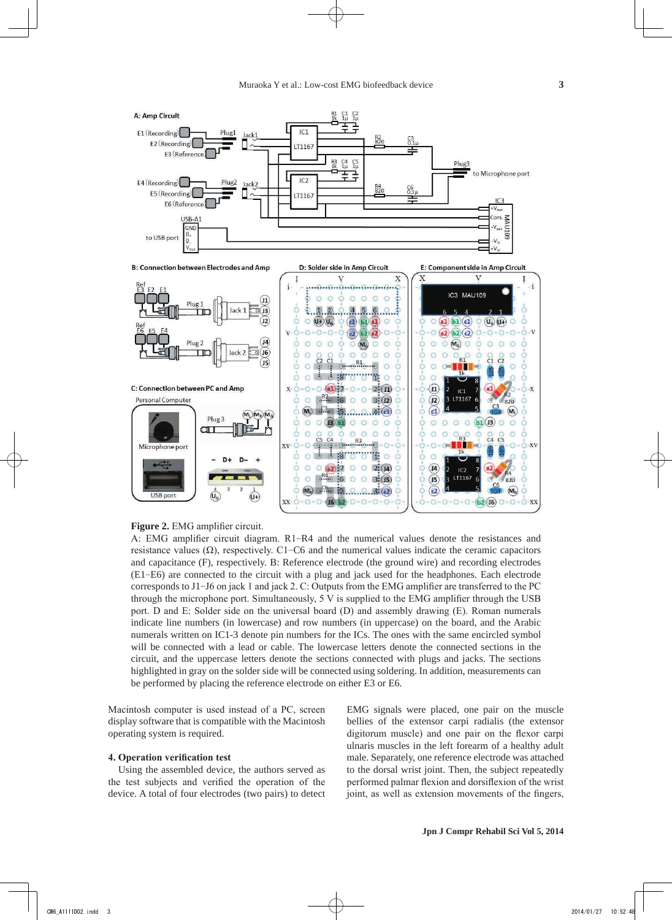

## **Figure 2.** EMG amplifier circuit.

A: EMG amplifier circuit diagram. R1-R4 and the numerical values denote the resistances and resistance values (Ω), respectively. C1-C6 and the numerical values indicate the ceramic capacitors and capacitance (F), respectively. B: Reference electrode (the ground wire) and recording electrodes (E1-E6) are connected to the circuit with a plug and jack used for the headphones. Each electrode corresponds to J1-J6 on jack 1 and jack 2. C: Outputs from the EMG amplifier are transferred to the PC through the microphone port. Simultaneously, 5 V is supplied to the EMG amplifier through the USB port. D and E: Solder side on the universal board (D) and assembly drawing (E). Roman numerals indicate line numbers (in lowercase) and row numbers (in uppercase) on the board, and the Arabic numerals written on IC1-3 denote pin numbers for the ICs. The ones with the same encircled symbol will be connected with a lead or cable. The lowercase letters denote the connected sections in the circuit, and the uppercase letters denote the sections connected with plugs and jacks. The sections highlighted in gray on the solder side will be connected using soldering. In addition, measurements can be performed by placing the reference electrode on either E3 or E6.

Macintosh computer is used instead of a PC, screen display software that is compatible with the Macintosh operating system is required.

#### **4. Operation verification test**

Using the assembled device, the authors served as the test subjects and verified the operation of the device. A total of four electrodes (two pairs) to detect EMG signals were placed, one pair on the muscle bellies of the extensor carpi radialis (the extensor digitorum muscle) and one pair on the flexor carpi ulnaris muscles in the left forearm of a healthy adult male. Separately, one reference electrode was attached to the dorsal wrist joint. Then, the subject repeatedly performed palmar flexion and dorsiflexion of the wrist joint, as well as extension movements of the fingers,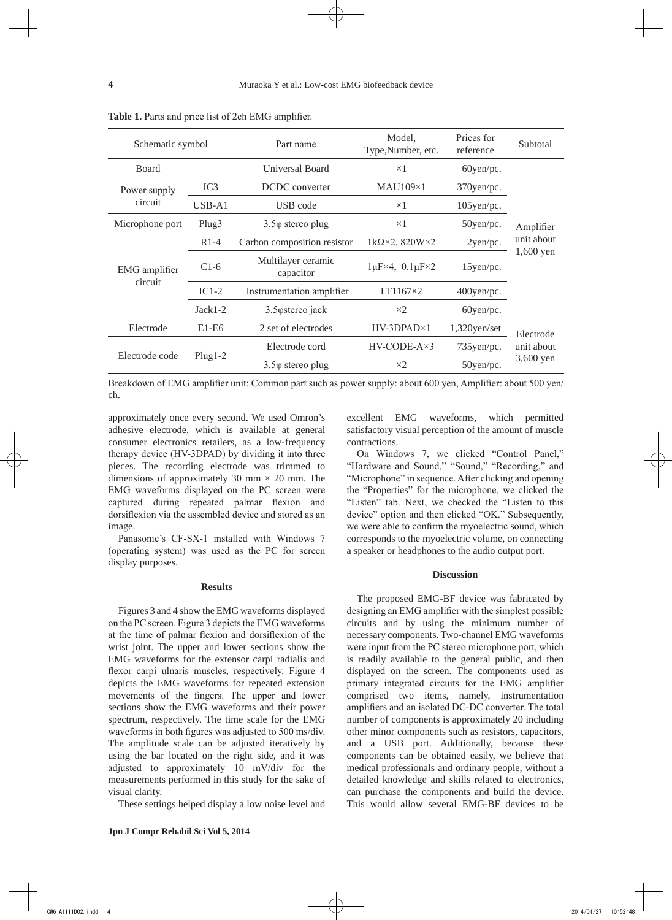| Schematic symbol         |                 | Part name                       | Model,<br>Type, Number, etc.           | Prices for<br>reference | Subtotal                             |
|--------------------------|-----------------|---------------------------------|----------------------------------------|-------------------------|--------------------------------------|
| Board                    |                 | Universal Board                 | $\times 1$                             | $60$ yen/pc.            | Amplifier<br>unit about<br>1,600 yen |
| Power supply<br>circuit  | IC <sub>3</sub> | DCDC converter                  | $MAU109\times1$                        | $370$ yen/pc.           |                                      |
|                          | $USB-A1$        | USB code                        | $\times 1$                             | $105$ yen/pc.           |                                      |
| Microphone port          | Plug3           | $3.5\varphi$ stereo plug        | $\times 1$                             | 50yen/pc.               |                                      |
| EMG amplifier<br>circuit | $R1-4$          | Carbon composition resistor     | 1k $\Omega \times 2$ , 820W $\times 2$ | 2yen/pc.                |                                      |
|                          | $C1-6$          | Multilayer ceramic<br>capacitor | $1\mu$ F×4, $0.1\mu$ F×2               | $15$ yen/pc.            |                                      |
|                          | $IC1-2$         | Instrumentation amplifier       | $LT1167\times2$                        | $400$ yen/pc.           |                                      |
|                          | $Jack1-2$       | 3.5 ostereo jack                | $\times 2$                             | $60$ yen/pc.            |                                      |
| Electrode                | $E1-E6$         | 2 set of electrodes             | $HV-3DPAD\times1$                      | $1,320$ yen/set         | Electrode<br>unit about<br>3,600 yen |
| Electrode code           | $Plug1-2$       | Electrode cord                  | $HV-CODE-A\times 3$                    | $735$ yen/pc.           |                                      |
|                          |                 | $3.5\varphi$ stereo plug        | $\times 2$                             | $50$ yen/pc.            |                                      |

**Table 1.** Parts and price list of 2ch EMG amplifier.

Breakdown of EMG amplifier unit: Common part such as power supply: about 600 yen, Amplifier: about 500 yen/ ch.

approximately once every second. We used Omron's adhesive electrode, which is available at general consumer electronics retailers, as a low-frequency therapy device (HV-3DPAD) by dividing it into three pieces. The recording electrode was trimmed to dimensions of approximately 30 mm  $\times$  20 mm. The EMG waveforms displayed on the PC screen were captured during repeated palmar flexion and dorsiflexion via the assembled device and stored as an image.

Panasonic's CF-SX-1 installed with Windows 7 (operating system) was used as the PC for screen display purposes.

#### **Results**

Figures 3 and 4 show the EMG waveforms displayed on the PC screen. Figure 3 depicts the EMG waveforms at the time of palmar flexion and dorsiflexion of the wrist joint. The upper and lower sections show the EMG waveforms for the extensor carpi radialis and flexor carpi ulnaris muscles, respectively. Figure 4 depicts the EMG waveforms for repeated extension movements of the fingers. The upper and lower sections show the EMG waveforms and their power spectrum, respectively. The time scale for the EMG waveforms in both figures was adjusted to 500 ms/div. The amplitude scale can be adjusted iteratively by using the bar located on the right side, and it was adjusted to approximately 10 mV/div for the measurements performed in this study for the sake of visual clarity.

These settings helped display a low noise level and

excellent EMG waveforms, which permitted satisfactory visual perception of the amount of muscle contractions.

On Windows 7, we clicked "Control Panel," "Hardware and Sound," "Sound," "Recording," and "Microphone" in sequence. After clicking and opening the "Properties" for the microphone, we clicked the "Listen" tab. Next, we checked the "Listen to this device" option and then clicked "OK." Subsequently, we were able to confirm the myoelectric sound, which corresponds to the myoelectric volume, on connecting a speaker or headphones to the audio output port.

#### **Discussion**

The proposed EMG-BF device was fabricated by designing an EMG amplifier with the simplest possible circuits and by using the minimum number of necessary components. Two-channel EMG waveforms were input from the PC stereo microphone port, which is readily available to the general public, and then displayed on the screen. The components used as primary integrated circuits for the EMG amplifier comprised two items, namely, instrumentation amplifiers and an isolated DC-DC converter. The total number of components is approximately 20 including other minor components such as resistors, capacitors, and a USB port. Additionally, because these components can be obtained easily, we believe that medical professionals and ordinary people, without a detailed knowledge and skills related to electronics, can purchase the components and build the device. This would allow several EMG-BF devices to be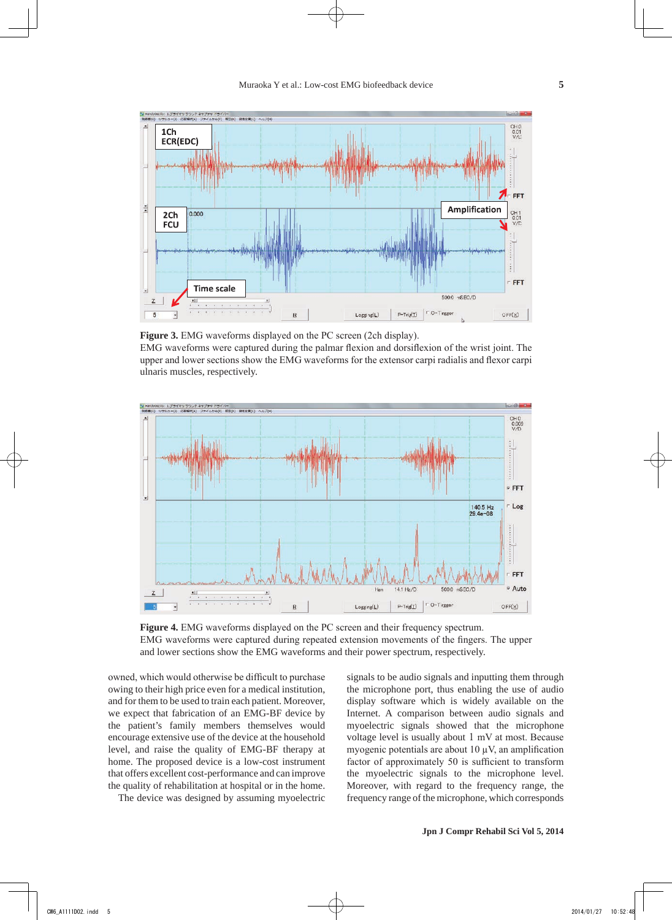

**Figure 3.** EMG waveforms displayed on the PC screen (2ch display).

EMG waveforms were captured during the palmar flexion and dorsiflexion of the wrist joint. The upper and lower sections show the EMG waveforms for the extensor carpi radialis and flexor carpi ulnaris muscles, respectively.



**Figure 4.** EMG waveforms displayed on the PC screen and their frequency spectrum. EMG waveforms were captured during repeated extension movements of the fingers. The upper and lower sections show the EMG waveforms and their power spectrum, respectively.

owned, which would otherwise be difficult to purchase owing to their high price even for a medical institution, and for them to be used to train each patient. Moreover, we expect that fabrication of an EMG-BF device by the patient's family members themselves would encourage extensive use of the device at the household level, and raise the quality of EMG-BF therapy at home. The proposed device is a low-cost instrument that offers excellent cost-performance and can improve the quality of rehabilitation at hospital or in the home.

The device was designed by assuming myoelectric

signals to be audio signals and inputting them through the microphone port, thus enabling the use of audio display software which is widely available on the Internet. A comparison between audio signals and myoelectric signals showed that the microphone voltage level is usually about 1 mV at most. Because myogenic potentials are about  $10 \mu V$ , an amplification factor of approximately 50 is sufficient to transform the myoelectric signals to the microphone level. Moreover, with regard to the frequency range, the frequency range of the microphone, which corresponds